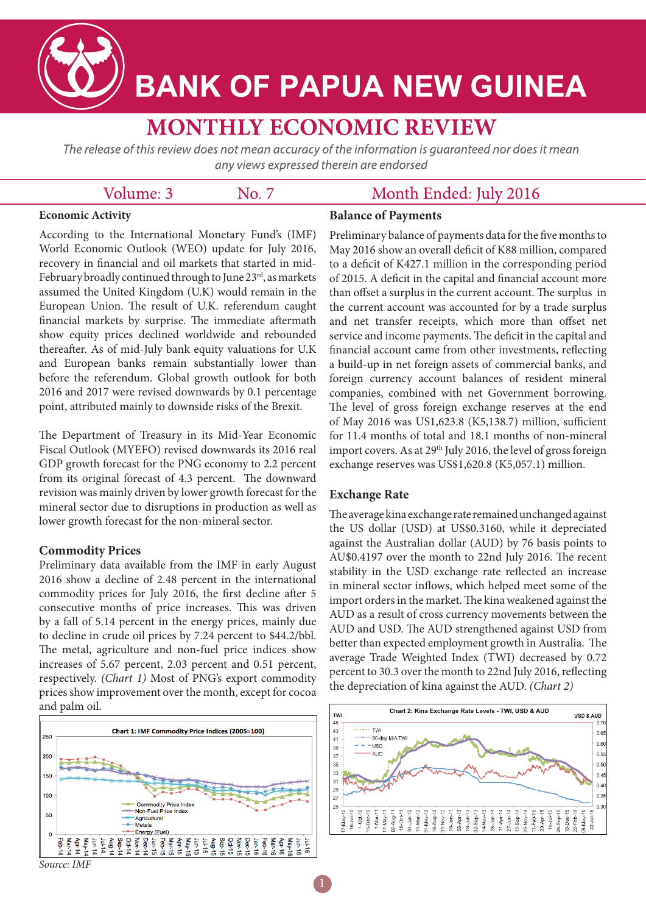

# **BANK OF PAPUA NEW GUINEA**

# **MONTHLY ECONOMIC REVIEW**

The release of this review does not mean accuracy of the information is quaranteed nor does it mean any views expressed therein are endorsed

# Volume: 3

No. 7

# Month Ended: July 2016

## **Economic Activity**

**Balance of Payments**

According to the International Monetary Fund's (IMF) World Economic Outlook (WEO) update for July 2016, recovery in financial and oil markets that started in mid-February broadly continued through to June  $23<sup>rd</sup>$ , as markets assumed the United Kingdom (U.K) would remain in the European Union. The result of U.K. referendum caught financial markets by surprise. The immediate aftermath show equity prices declined worldwide and rebounded thereafter. As of mid-July bank equity valuations for U.K and European banks remain substantially lower than before the referendum. Global growth outlook for both 2016 and 2017 were revised downwards by 0.1 percentage point, attributed mainly to downside risks of the Brexit.

The Department of Treasury in its Mid-Year Economic Fiscal Outlook (MYEFO) revised downwards its 2016 real GDP growth forecast for the PNG economy to 2.2 percent from its original forecast of 4.3 percent. The downward revision was mainly driven by lower growth forecast for the mineral sector due to disruptions in production as well as lower growth forecast for the non-mineral sector.

# **Commodity Prices**

Preliminary data available from the IMF in early August 2016 show a decline of 2.48 percent in the international commodity prices for July 2016, the first decline after 5 consecutive months of price increases. This was driven by a fall of 5.14 percent in the energy prices, mainly due to decline in crude oil prices by 7.24 percent to \$44.2/bbl. The metal, agriculture and non-fuel price indices show increases of 5.67 percent, 2.03 percent and 0.51 percent, respectively. *(Chart 1)* Most of PNG's export commodity prices show improvement over the month, except for cocoa and palm oil.



Preliminary balance of payments data for the five months to May 2016 show an overall deficit of K88 million, compared to a deficit of K427.1 million in the corresponding period of 2015. A deficit in the capital and financial account more than offset a surplus in the current account. The surplus in the current account was accounted for by a trade surplus and net transfer receipts, which more than offset net service and income payments. The deficit in the capital and financial account came from other investments, reflecting a build-up in net foreign assets of commercial banks, and foreign currency account balances of resident mineral companies, combined with net Government borrowing. The level of gross foreign exchange reserves at the end of May 2016 was US1,623.8 (K5,138.7) million, sufficient for 11.4 months of total and 18.1 months of non-mineral import covers. As at  $29<sup>th</sup>$  July 2016, the level of gross foreign exchange reserves was US\$1,620.8 (K5,057.1) million.

# **Exchange Rate**

The average kina exchange rate remained unchanged against the US dollar (USD) at US\$0.3160, while it depreciated against the Australian dollar (AUD) by 76 basis points to AU\$0.4197 over the month to 22nd July 2016. The recent stability in the USD exchange rate reflected an increase in mineral sector inflows, which helped meet some of the import orders in the market. The kina weakened against the AUD as a result of cross currency movements between the AUD and USD. The AUD strengthened against USD from better than expected employment growth in Australia. The average Trade Weighted Index (TWI) decreased by 0.72 percent to 30.3 over the month to 22nd July 2016, reflecting the depreciation of kina against the AUD. *(Chart 2)*



*Source: IMF*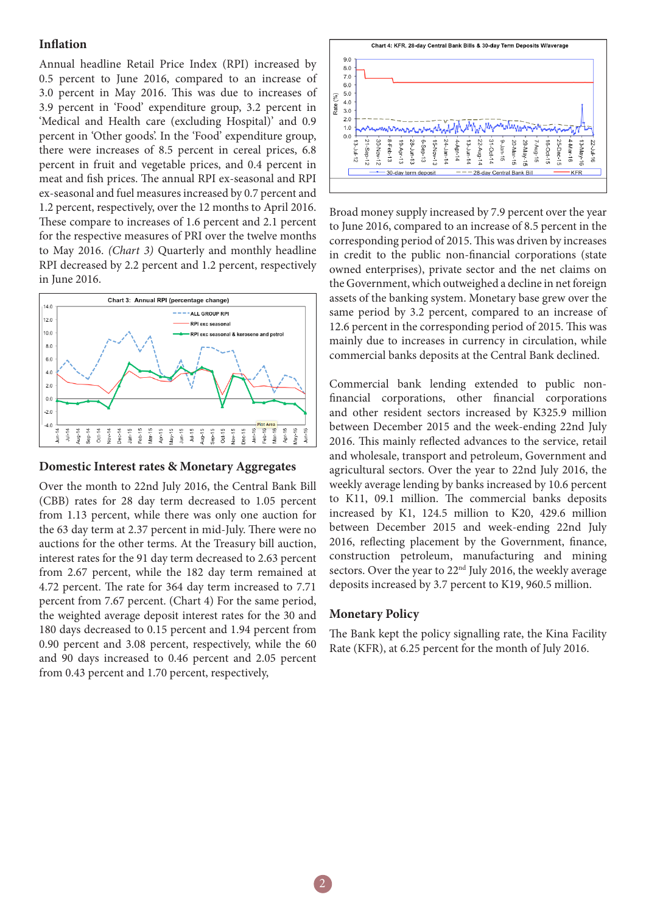### **Inflation**

Annual headline Retail Price Index (RPI) increased by 0.5 percent to June 2016, compared to an increase of 3.0 percent in May 2016. This was due to increases of 3.9 percent in 'Food' expenditure group, 3.2 percent in 'Medical and Health care (excluding Hospital)' and 0.9 percent in 'Other goods'. In the 'Food' expenditure group, there were increases of 8.5 percent in cereal prices, 6.8 percent in fruit and vegetable prices, and 0.4 percent in meat and fish prices. The annual RPI ex-seasonal and RPI ex-seasonal and fuel measures increased by 0.7 percent and 1.2 percent, respectively, over the 12 months to April 2016. These compare to increases of 1.6 percent and 2.1 percent for the respective measures of PRI over the twelve months to May 2016. *(Chart 3)* Quarterly and monthly headline RPI decreased by 2.2 percent and 1.2 percent, respectively in June 2016.



#### **Domestic Interest rates & Monetary Aggregates**

Over the month to 22nd July 2016, the Central Bank Bill (CBB) rates for 28 day term decreased to 1.05 percent from 1.13 percent, while there was only one auction for the 63 day term at 2.37 percent in mid-July. There were no auctions for the other terms. At the Treasury bill auction, interest rates for the 91 day term decreased to 2.63 percent from 2.67 percent, while the 182 day term remained at 4.72 percent. The rate for 364 day term increased to 7.71 percent from 7.67 percent. (Chart 4) For the same period, the weighted average deposit interest rates for the 30 and 180 days decreased to 0.15 percent and 1.94 percent from 0.90 percent and 3.08 percent, respectively, while the 60 and 90 days increased to 0.46 percent and 2.05 percent from 0.43 percent and 1.70 percent, respectively,



Broad money supply increased by 7.9 percent over the year to June 2016, compared to an increase of 8.5 percent in the corresponding period of 2015. This was driven by increases in credit to the public non-financial corporations (state owned enterprises), private sector and the net claims on the Government, which outweighed a decline in net foreign assets of the banking system. Monetary base grew over the same period by 3.2 percent, compared to an increase of 12.6 percent in the corresponding period of 2015. This was mainly due to increases in currency in circulation, while commercial banks deposits at the Central Bank declined.

Commercial bank lending extended to public nonfinancial corporations, other financial corporations and other resident sectors increased by K325.9 million between December 2015 and the week-ending 22nd July 2016. This mainly reflected advances to the service, retail and wholesale, transport and petroleum, Government and agricultural sectors. Over the year to 22nd July 2016, the weekly average lending by banks increased by 10.6 percent to K11, 09.1 million. The commercial banks deposits increased by K1, 124.5 million to K20, 429.6 million between December 2015 and week-ending 22nd July 2016, reflecting placement by the Government, finance, construction petroleum, manufacturing and mining sectors. Over the year to 22<sup>nd</sup> July 2016, the weekly average deposits increased by 3.7 percent to K19, 960.5 million.

#### **Monetary Policy**

2

The Bank kept the policy signalling rate, the Kina Facility Rate (KFR), at 6.25 percent for the month of July 2016.